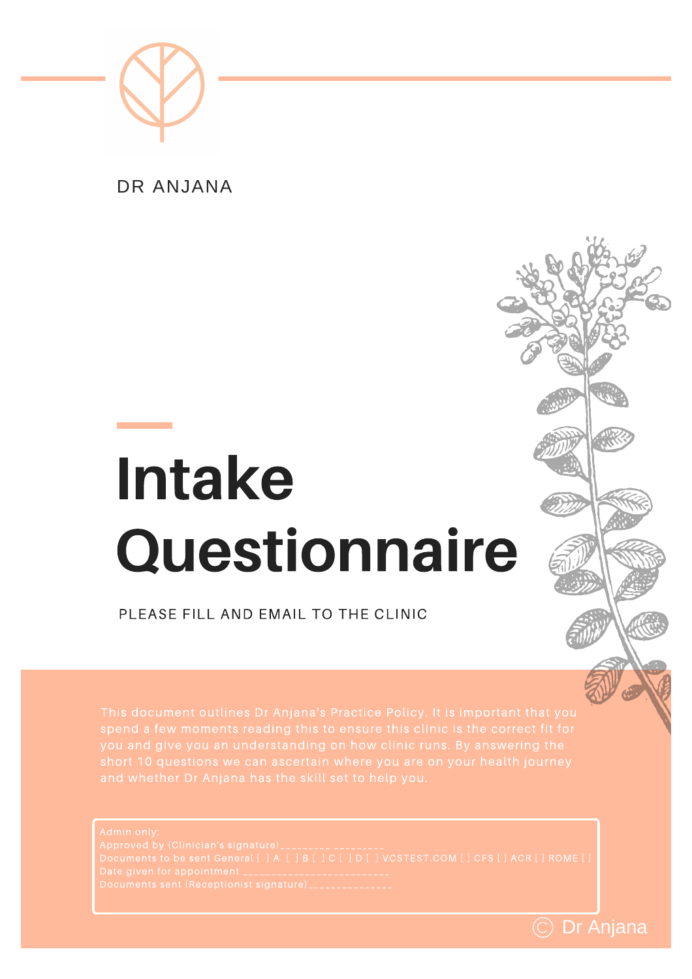

DR ANJANA

# **Intake** Questionnaire

PLEASE FILL AND EMAIL TO THE CLINIC

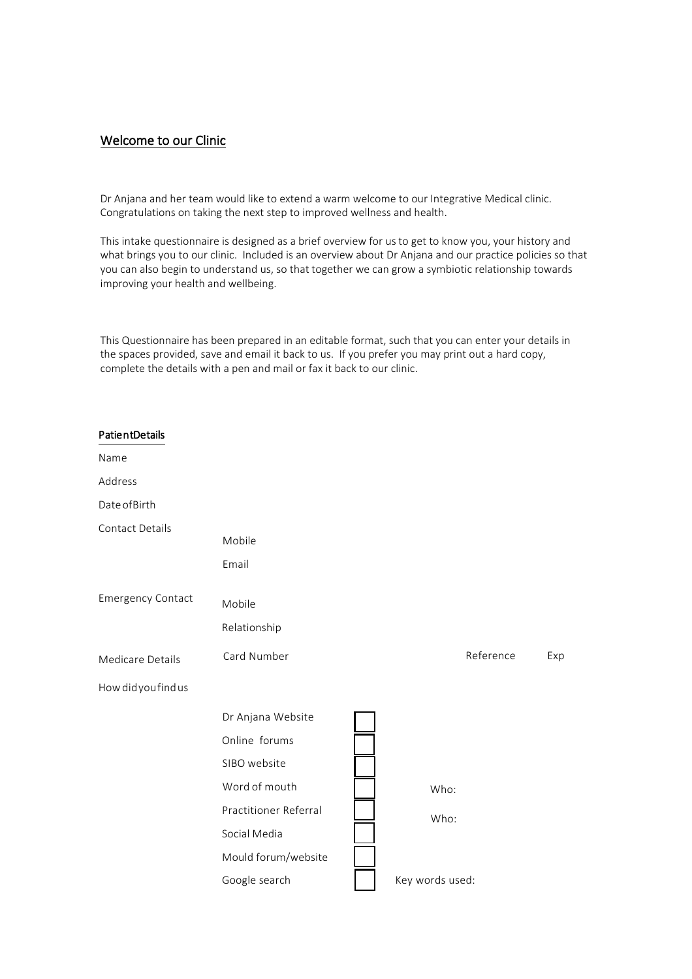## Welcome to our Clinic

Dr Anjana and her team would like to extend a warm welcome to our Integrative Medical clinic. Congratulations on taking the next step to improved wellness and health.

This intake questionnaire is designed as a brief overview for us to get to know you, your history and what brings you to our clinic. Included is an overview about Dr Anjana and our practice policies so that you can also begin to understand us, so that together we can grow a symbiotic relationship towards improving your health and wellbeing.

This Questionnaire has been prepared in an editable format, such that you can enter your details in the spaces provided, save and email it back to us. If you prefer you may print out a hard copy, complete the details with a pen and mail or fax it back to our clinic.

| PatientDetails           |                        |                 |           |     |
|--------------------------|------------------------|-----------------|-----------|-----|
| Name                     |                        |                 |           |     |
| Address                  |                        |                 |           |     |
| Date of Birth            |                        |                 |           |     |
| Contact Details          | Mobile<br>Email        |                 |           |     |
| <b>Emergency Contact</b> | Mobile<br>Relationship |                 |           |     |
| Medicare Details         | Card Number            |                 | Reference | Exp |
| How did you find us      |                        |                 |           |     |
|                          | Dr Anjana Website      |                 |           |     |
|                          | Online forums          |                 |           |     |
|                          | SIBO website           |                 |           |     |
|                          | Word of mouth          | Who:            |           |     |
|                          | Practitioner Referral  | Who:            |           |     |
|                          | Social Media           |                 |           |     |
|                          | Mould forum/website    |                 |           |     |
|                          | Google search          | Key words used: |           |     |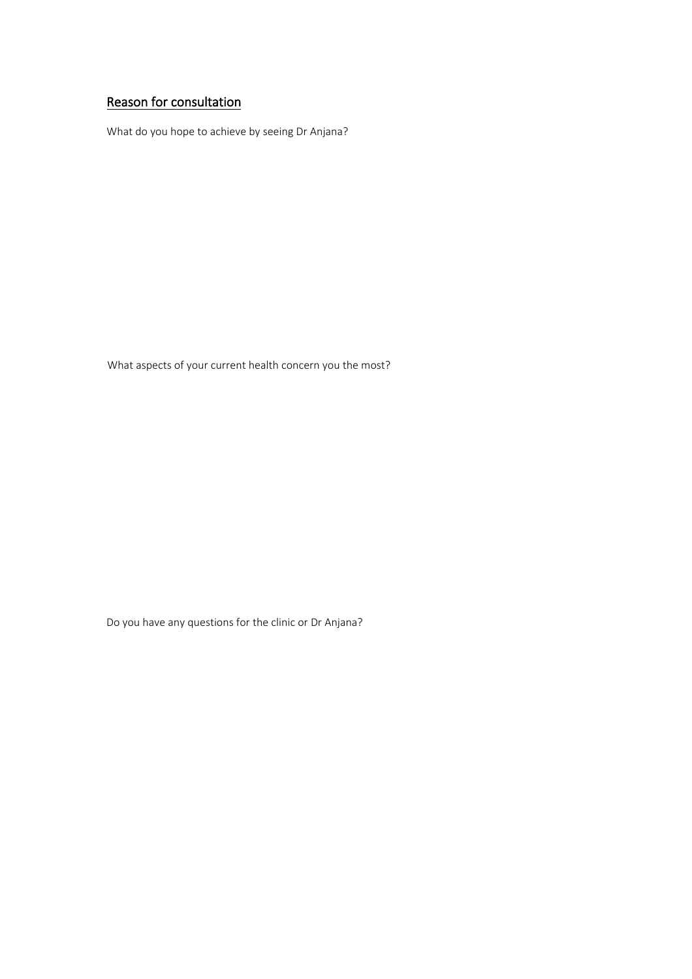# Reason for consultation

What do you hope to achieve by seeing Dr Anjana?

What aspects of your current health concern you the most?

Do you have any questions for the clinic or Dr Anjana?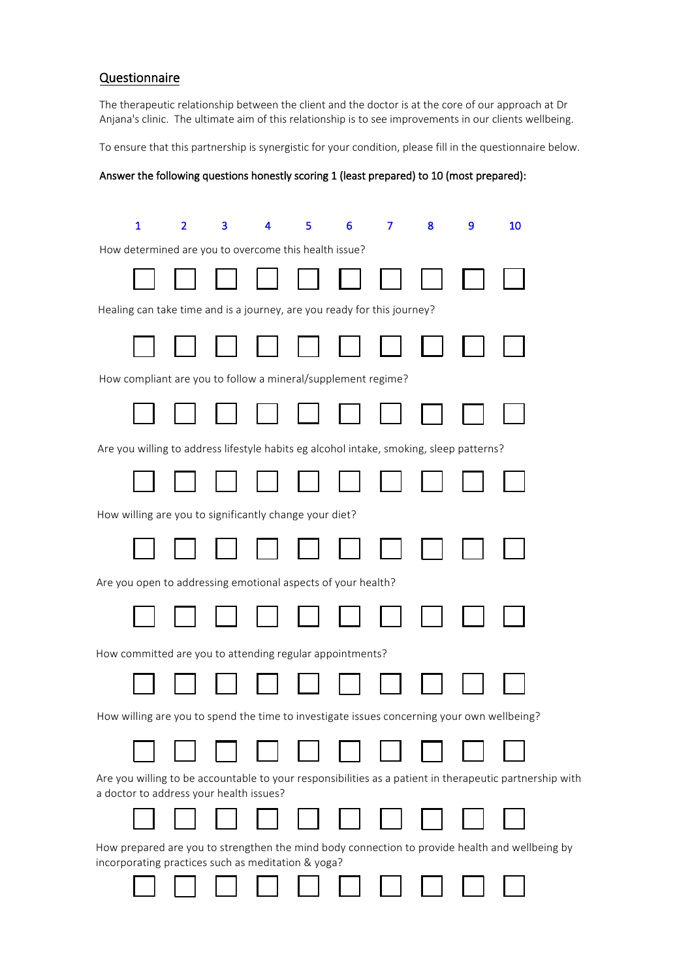# Questionnaire

The therapeutic relationship between the client and the doctor is at the core of our approach at Dr Anjana's clinic. The ultimate aim of this relationship is to see improvements in our clients wellbeing.

To ensure that this partnership is synergistic for your condition, please fill in the questionnaire below.

#### Answer the following questions honestly scoring 1 (least prepared) to 10 (most prepared):

| $\mathbf{1}$                                                                                                                                         | $\overline{2}$                                               | 3 | 4 | 5 | 6 | 7 | 8 | 9 | 10 |
|------------------------------------------------------------------------------------------------------------------------------------------------------|--------------------------------------------------------------|---|---|---|---|---|---|---|----|
| How determined are you to overcome this health issue?                                                                                                |                                                              |   |   |   |   |   |   |   |    |
|                                                                                                                                                      |                                                              |   |   |   |   |   |   |   |    |
| Healing can take time and is a journey, are you ready for this journey?                                                                              |                                                              |   |   |   |   |   |   |   |    |
|                                                                                                                                                      |                                                              |   |   |   |   |   |   |   |    |
|                                                                                                                                                      | How compliant are you to follow a mineral/supplement regime? |   |   |   |   |   |   |   |    |
|                                                                                                                                                      |                                                              |   |   |   |   |   |   |   |    |
| Are you willing to address lifestyle habits eg alcohol intake, smoking, sleep patterns?                                                              |                                                              |   |   |   |   |   |   |   |    |
|                                                                                                                                                      |                                                              |   |   |   |   |   |   |   |    |
| How willing are you to significantly change your diet?                                                                                               |                                                              |   |   |   |   |   |   |   |    |
|                                                                                                                                                      |                                                              |   |   |   |   |   |   |   |    |
| Are you open to addressing emotional aspects of your health?                                                                                         |                                                              |   |   |   |   |   |   |   |    |
|                                                                                                                                                      |                                                              |   |   |   |   |   |   |   |    |
| How committed are you to attending regular appointments?                                                                                             |                                                              |   |   |   |   |   |   |   |    |
|                                                                                                                                                      |                                                              |   |   |   |   |   |   |   |    |
| How willing are you to spend the time to investigate issues concerning your own wellbeing?                                                           |                                                              |   |   |   |   |   |   |   |    |
|                                                                                                                                                      |                                                              |   |   |   |   |   |   |   |    |
| Are you willing to be accountable to your responsibilities as a patient in therapeutic partnership with<br>a doctor to address your health issues?   |                                                              |   |   |   |   |   |   |   |    |
|                                                                                                                                                      |                                                              |   |   |   |   |   |   |   |    |
| How prepared are you to strengthen the mind body connection to provide health and wellbeing by<br>incorporating practices such as meditation & yoga? |                                                              |   |   |   |   |   |   |   |    |
|                                                                                                                                                      |                                                              |   |   |   |   |   |   |   |    |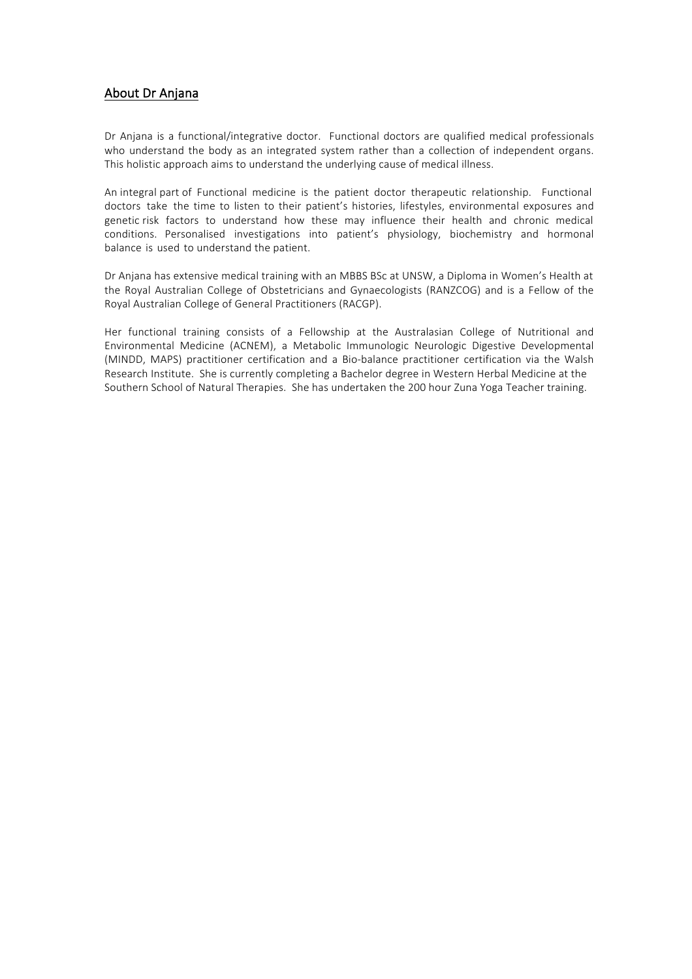## About Dr Anjana

Dr Anjana is a functional/integrative doctor. Functional doctors are qualified medical professionals who understand the body as an integrated system rather than a collection of independent organs. This holistic approach aims to understand the underlying cause of medical illness.

An integral part of Functional medicine is the patient doctor therapeutic relationship. Functional doctors take the time to listen to their patient's histories, lifestyles, environmental exposures and genetic risk factors to understand how these may influence their health and chronic medical conditions. Personalised investigations into patient's physiology, biochemistry and hormonal balance is used to understand the patient.

Dr Anjana has extensive medical training with an MBBS BSc at UNSW, a Diploma in Women's Health at the Royal Australian College of Obstetricians and Gynaecologists (RANZCOG) and is a Fellow of the Royal Australian College of General Practitioners (RACGP).

Her functional training consists of a Fellowship at the Australasian College of Nutritional and Environmental Medicine (ACNEM), a Metabolic Immunologic Neurologic Digestive Developmental (MINDD, MAPS) practitioner certification and a Bio-balance practitioner certification via the Walsh Research Institute. She is currently completing a Bachelor degree in Western Herbal Medicine at the Southern School of Natural Therapies. She has undertaken the 200 hour Zuna Yoga Teacher training.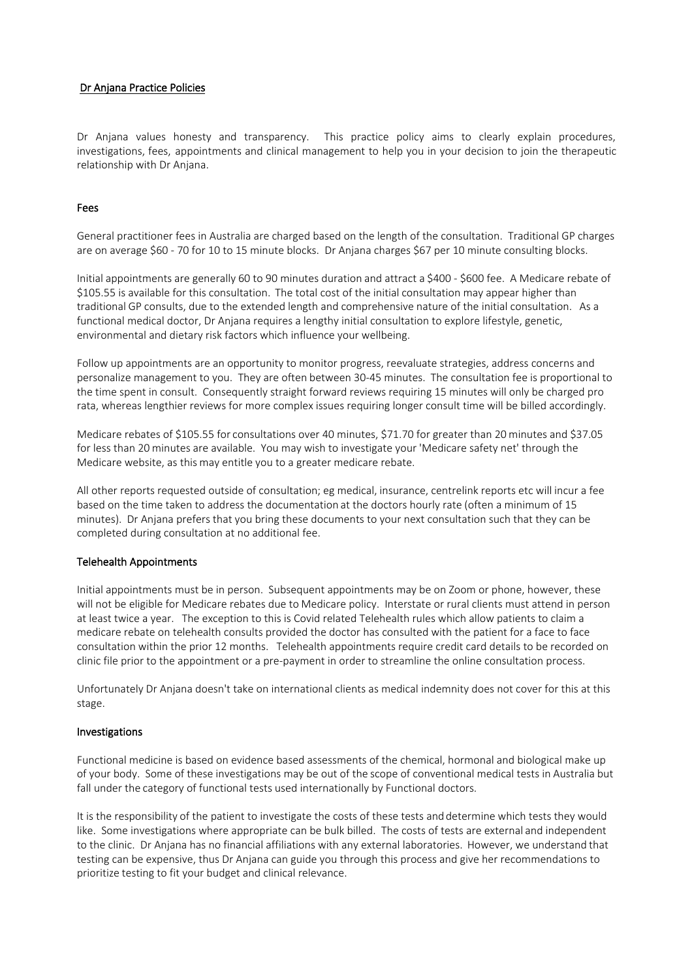#### Dr Anjana Practice Policies

Dr Anjana values honesty and transparency. This practice policy aims to clearly explain procedures, investigations, fees, appointments and clinical management to help you in your decision to join the therapeutic relationship with Dr Anjana.

#### Fees

General practitioner fees in Australia are charged based on the length of the consultation. Traditional GP charges are on average \$60 - 70 for 10 to 15 minute blocks. Dr Anjana charges \$67 per 10 minute consulting blocks.

Initial appointments are generally 60 to 90 minutes duration and attract a \$400 - \$600 fee. A Medicare rebate of \$105.55 is available for this consultation. The total cost of the initial consultation may appear higher than traditional GP consults, due to the extended length and comprehensive nature of the initial consultation. As a functional medical doctor, Dr Anjana requires a lengthy initial consultation to explore lifestyle, genetic, environmental and dietary risk factors which influence your wellbeing.

Follow up appointments are an opportunity to monitor progress, reevaluate strategies, address concerns and personalize management to you. They are often between 30-45 minutes. The consultation fee is proportional to the time spent in consult. Consequently straight forward reviews requiring 15 minutes will only be charged pro rata, whereas lengthier reviews for more complex issues requiring longer consult time will be billed accordingly.

Medicare rebates of \$105.55 for consultations over 40 minutes, \$71.70 for greater than 20 minutes and \$37.05 for less than 20 minutes are available. You may wish to investigate your 'Medicare safety net' through the Medicare website, as this may entitle you to a greater medicare rebate.

All other reports requested outside of consultation; eg medical, insurance, centrelink reports etc will incur a fee based on the time taken to address the documentation at the doctors hourly rate (often a minimum of 15 minutes). Dr Anjana prefers that you bring these documents to your next consultation such that they can be completed during consultation at no additional fee.

#### Telehealth Appointments

Initial appointments must be in person. Subsequent appointments may be on Zoom or phone, however, these will not be eligible for Medicare rebates due to Medicare policy. Interstate or rural clients must attend in person at least twice a year. The exception to this is Covid related Telehealth rules which allow patients to claim a medicare rebate on telehealth consults provided the doctor has consulted with the patient for a face to face consultation within the prior 12 months. Telehealth appointments require credit card details to be recorded on clinic file prior to the appointment or a pre-payment in order to streamline the online consultation process.

Unfortunately Dr Anjana doesn't take on international clients as medical indemnity does not cover for this at this stage.

#### Investigations

Functional medicine is based on evidence based assessments of the chemical, hormonal and biological make up of your body. Some of these investigations may be out of the scope of conventional medical tests in Australia but fall under the category of functional tests used internationally by Functional doctors.

It is the responsibility of the patient to investigate the costs of these tests and determine which tests they would like. Some investigations where appropriate can be bulk billed. The costs of tests are external and independent to the clinic. Dr Anjana has no financial affiliations with any external laboratories. However, we understand that testing can be expensive, thus Dr Anjana can guide you through this process and give her recommendations to prioritize testing to fit your budget and clinical relevance.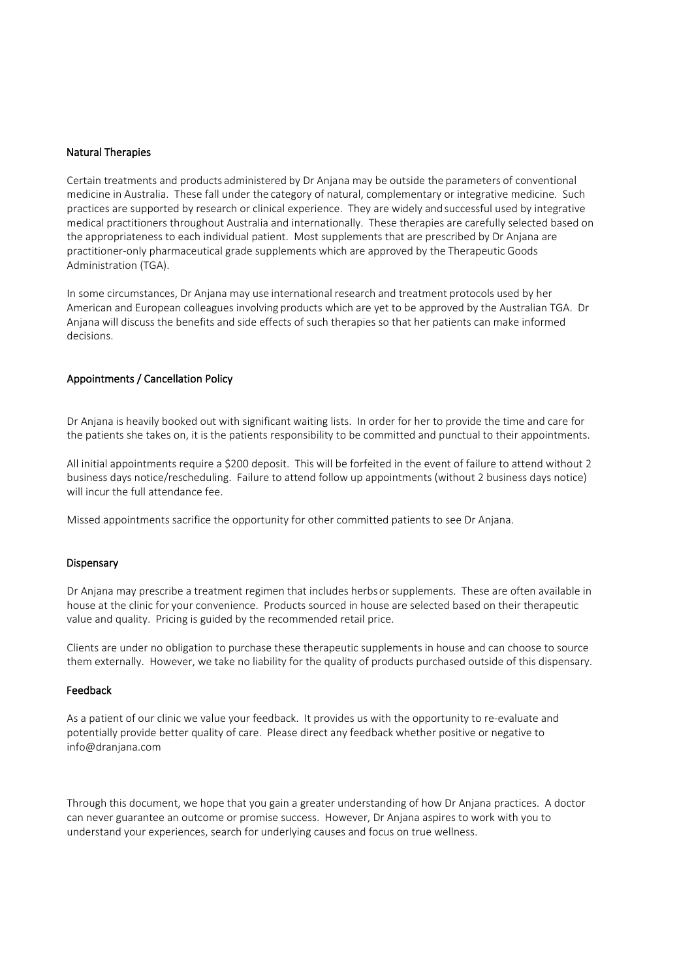#### Natural Therapies

Certain treatments and products administered by Dr Anjana may be outside the parameters of conventional medicine in Australia. These fall under the category of natural, complementary or integrative medicine. Such practices are supported by research or clinical experience. They are widely and successful used by integrative medical practitioners throughout Australia and internationally. These therapies are carefully selected based on the appropriateness to each individual patient. Most supplements that are prescribed by Dr Anjana are practitioner-only pharmaceutical grade supplements which are approved by the Therapeutic Goods Administration (TGA).

In some circumstances, Dr Anjana may use international research and treatment protocols used by her American and European colleagues involving products which are yet to be approved by the Australian TGA. Dr Anjana will discuss the benefits and side effects of such therapies so that her patients can make informed decisions.

#### Appointments / Cancellation Policy

Dr Anjana is heavily booked out with significant waiting lists. In order for her to provide the time and care for the patients she takes on, it is the patients responsibility to be committed and punctual to their appointments.

All initial appointments require a \$200 deposit. This will be forfeited in the event of failure to attend without 2 business days notice/rescheduling. Failure to attend follow up appointments (without 2 business days notice) will incur the full attendance fee.

Missed appointments sacrifice the opportunity for other committed patients to see Dr Anjana.

#### **Dispensary**

Dr Anjana may prescribe a treatment regimen that includes herbs or supplements. These are often available in house at the clinic for your convenience. Products sourced in house are selected based on their therapeutic value and quality. Pricing is guided by the recommended retail price.

Clients are under no obligation to purchase these therapeutic supplements in house and can choose to source them externally. However, we take no liability for the quality of products purchased outside of this dispensary.

#### Feedback

As a patient of our clinic we value your feedback. It provides us with the opportunity to re-evaluate and potentially provide better quality of care. Please direct any feedback whether positive or negative to info@dranjana.com

Through this document, we hope that you gain a greater understanding of how Dr Anjana practices. A doctor can never guarantee an outcome or promise success. However, Dr Anjana aspires to work with you to understand your experiences, search for underlying causes and focus on true wellness.